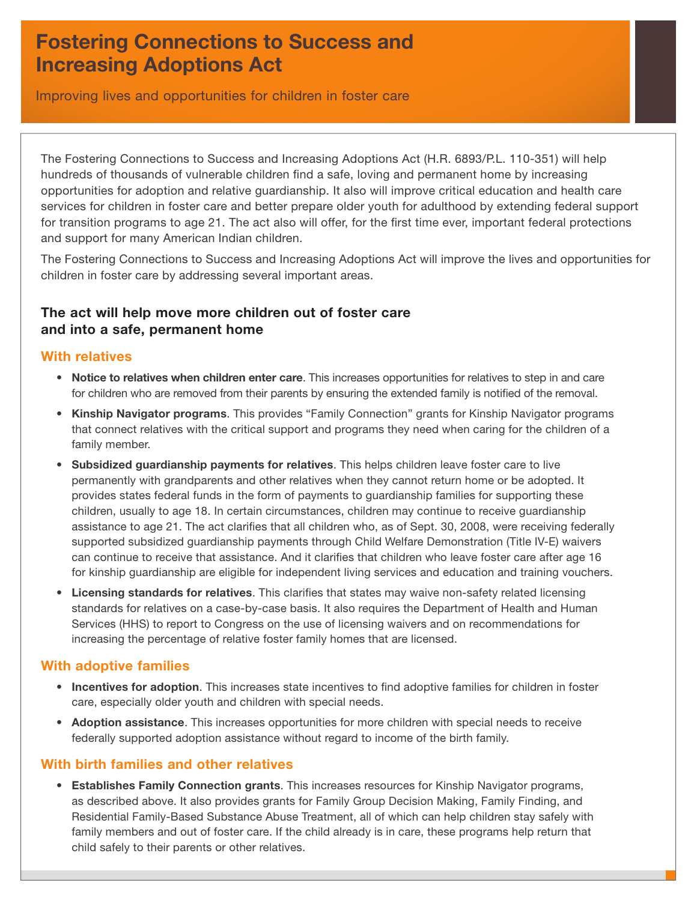# **Fostering Connections to Success and Increasing Adoptions Act**

Improving lives and opportunities for children in foster care

The Fostering Connections to Success and Increasing Adoptions Act (H.R. 6893/P.L. 110-351) will help hundreds of thousands of vulnerable children find a safe, loving and permanent home by increasing opportunities for adoption and relative guardianship. It also will improve critical education and health care services for children in foster care and better prepare older youth for adulthood by extending federal support for transition programs to age 21. The act also will offer, for the first time ever, important federal protections and support for many American Indian children.

The Fostering Connections to Success and Increasing Adoptions Act will improve the lives and opportunities for children in foster care by addressing several important areas.

## **The act will help move more children out of foster care and into a safe, permanent home**

#### **With relatives**

- **Notice to relatives when children enter care**. This increases opportunities for relatives to step in and care for children who are removed from their parents by ensuring the extended family is notified of the removal.
- **Kinship Navigator programs**. This provides "Family Connection" grants for Kinship Navigator programs that connect relatives with the critical support and programs they need when caring for the children of a family member.
- **Subsidized guardianship payments for relatives**. This helps children leave foster care to live permanently with grandparents and other relatives when they cannot return home or be adopted. It provides states federal funds in the form of payments to guardianship families for supporting these children, usually to age 18. In certain circumstances, children may continue to receive guardianship assistance to age 21. The act clarifies that all children who, as of Sept. 30, 2008, were receiving federally supported subsidized guardianship payments through Child Welfare Demonstration (Title IV-E) waivers can continue to receive that assistance. And it clarifies that children who leave foster care after age 16 for kinship guardianship are eligible for independent living services and education and training vouchers.
- Licensing standards for relatives. This clarifies that states may waive non-safety related licensing standards for relatives on a case-by-case basis. It also requires the Department of Health and Human Services (HHS) to report to Congress on the use of licensing waivers and on recommendations for increasing the percentage of relative foster family homes that are licensed.

### **With adoptive families**

- Incentives for adoption. This increases state incentives to find adoptive families for children in foster care, especially older youth and children with special needs.
- **Adoption assistance**. This increases opportunities for more children with special needs to receive federally supported adoption assistance without regard to income of the birth family.

### **With birth families and other relatives**

• **Establishes Family Connection grants**. This increases resources for Kinship Navigator programs, as described above. It also provides grants for Family Group Decision Making, Family Finding, and Residential Family-Based Substance Abuse Treatment, all of which can help children stay safely with family members and out of foster care. If the child already is in care, these programs help return that child safely to their parents or other relatives.